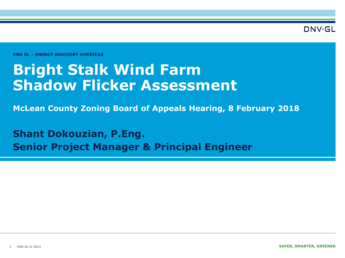DNV·GL

**DNV GL – ENERGY ADVISORY AMERICAS** 

## **Bright Stalk Wind Farm Shadow Flicker Assessment**

**McLean County Zoning Board of Appeals Hearing, 8 February 2018**

**Shant Dokouzian, P.Eng. Senior Project Manager & Principal Engineer**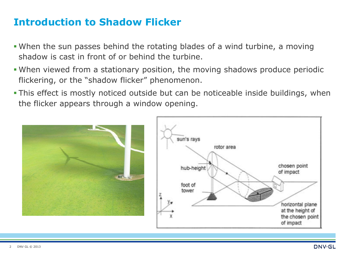## **Introduction to Shadow Flicker**

- When the sun passes behind the rotating blades of a wind turbine, a moving shadow is cast in front of or behind the turbine.
- When viewed from a stationary position, the moving shadows produce periodic flickering, or the "shadow flicker" phenomenon.
- This effect is mostly noticed outside but can be noticeable inside buildings, when the flicker appears through a window opening.



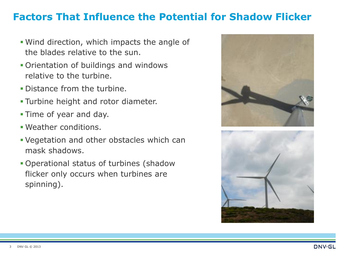## **Factors That Influence the Potential for Shadow Flicker**

- Wind direction, which impacts the angle of the blades relative to the sun.
- Orientation of buildings and windows relative to the turbine.
- Distance from the turbine.
- Turbine height and rotor diameter.
- Time of year and day.
- Weather conditions.
- Vegetation and other obstacles which can mask shadows.
- Operational status of turbines (shadow flicker only occurs when turbines are spinning).



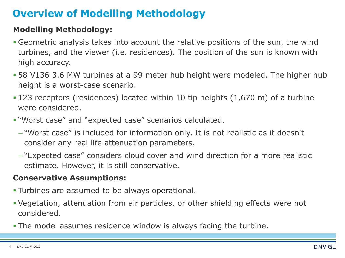## **Overview of Modelling Methodology**

#### **Modelling Methodology:**

- Geometric analysis takes into account the relative positions of the sun, the wind turbines, and the viewer (i.e. residences). The position of the sun is known with high accuracy.
- 58 V136 3.6 MW turbines at a 99 meter hub height were modeled. The higher hub height is a worst-case scenario.
- 123 receptors (residences) located within 10 tip heights (1,670 m) of a turbine were considered.
- "Worst case" and "expected case" scenarios calculated.
	- "Worst case" is included for information only. It is not realistic as it doesn't consider any real life attenuation parameters.
	- "Expected case" considers cloud cover and wind direction for a more realistic estimate. However, it is still conservative.

#### **Conservative Assumptions:**

- Turbines are assumed to be always operational.
- Vegetation, attenuation from air particles, or other shielding effects were not considered.
- **The model assumes residence window is always facing the turbine.**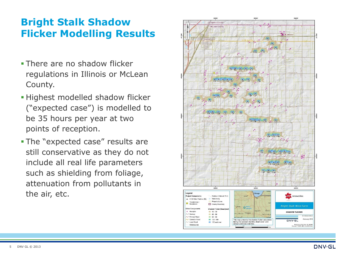## **Bright Stalk Shadow Flicker Modelling Results**

- **There are no shadow flicker** regulations in Illinois or McLean County.
- **Highest modelled shadow flicker** ("expected case") is modelled to be 35 hours per year at two points of reception.
- The "expected case" results are still conservative as they do not include all real life parameters such as shielding from foliage, attenuation from pollutants in the air, etc.



**DNV·GL**